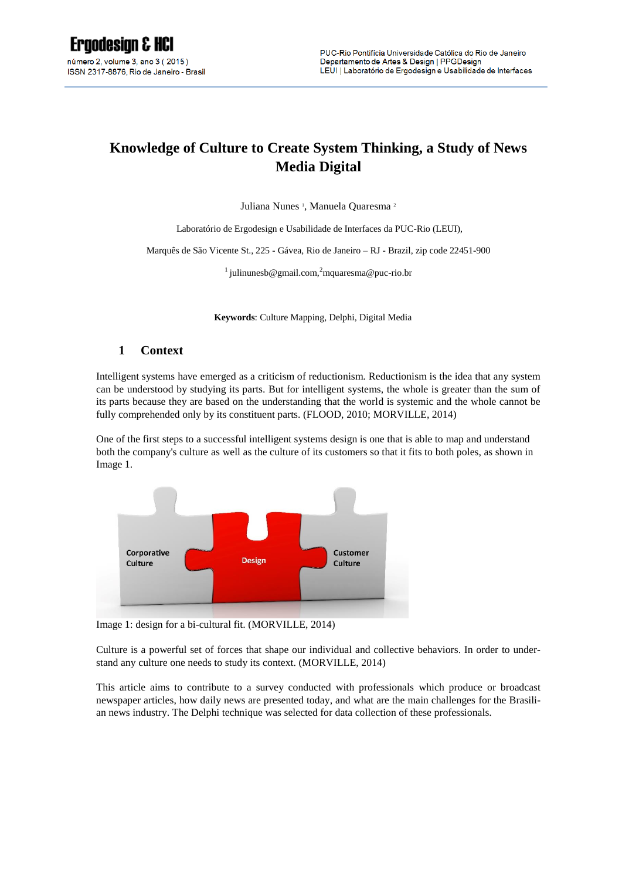# **Knowledge of Culture to Create System Thinking, a Study of News Media Digital**

Juliana Nunes<sup>1</sup>, Manuela Quaresma<sup>2</sup>

Laboratório de Ergodesign e Usabilidade de Interfaces da PUC-Rio (LEUI),

Marquês de São Vicente St., 225 - Gávea, Rio de Janeiro – RJ - Brazil, zip code 22451-900

<sup>1</sup> [julinunesb@gmail.com,](mailto:julinunesb@gmail.com,2)<sup>2</sup>[mquaresma@puc-rio.br](mailto:julinunesb@gmail.com,2)

**Keywords**: Culture Mapping, Delphi, Digital Media

#### **1 Context**

Intelligent systems have emerged as a criticism of reductionism. Reductionism is the idea that any system can be understood by studying its parts. But for intelligent systems, the whole is greater than the sum of its parts because they are based on the understanding that the world is systemic and the whole cannot be fully comprehended only by its constituent parts. (FLOOD, 2010; MORVILLE, 2014)

One of the first steps to a successful intelligent systems design is one that is able to map and understand both the company's culture as well as the culture of its customers so that it fits to both poles, as shown in Image 1.



Image 1: design for a bi-cultural fit. (MORVILLE, 2014)

Culture is a powerful set of forces that shape our individual and collective behaviors. In order to understand any culture one needs to study its context. (MORVILLE, 2014)

This article aims to contribute to a survey conducted with professionals which produce or broadcast newspaper articles, how daily news are presented today, and what are the main challenges for the Brasilian news industry. The Delphi technique was selected for data collection of these professionals.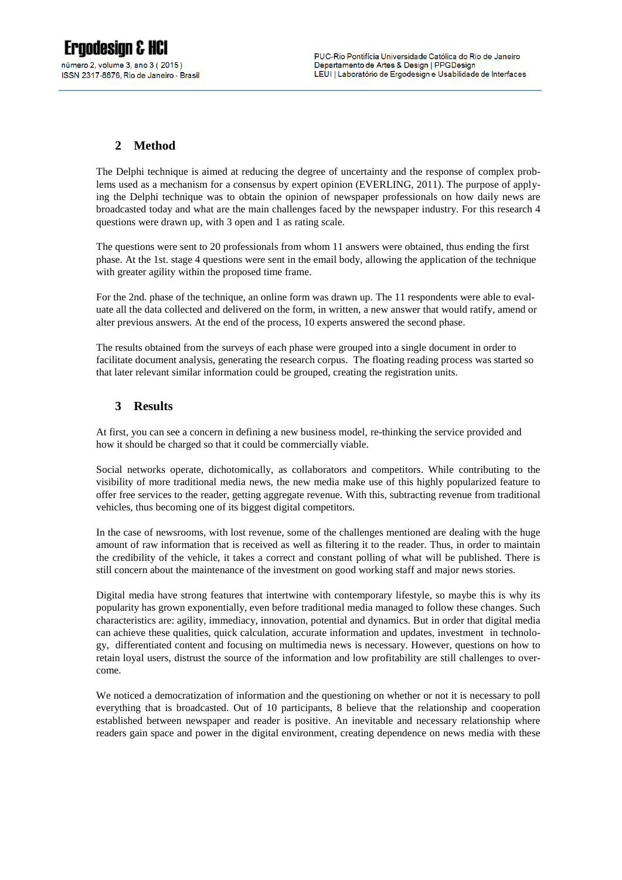# **2 Method**

The Delphi technique is aimed at reducing the degree of uncertainty and the response of complex problems used as a mechanism for a consensus by expert opinion (EVERLING, 2011). The purpose of applying the Delphi technique was to obtain the opinion of newspaper professionals on how daily news are broadcasted today and what are the main challenges faced by the newspaper industry. For this research 4 questions were drawn up, with 3 open and 1 as rating scale.

The questions were sent to 20 professionals from whom 11 answers were obtained, thus ending the first phase. At the 1st. stage 4 questions were sent in the email body, allowing the application of the technique with greater agility within the proposed time frame.

For the 2nd. phase of the technique, an online form was drawn up. The 11 respondents were able to evaluate all the data collected and delivered on the form, in written, a new answer that would ratify, amend or alter previous answers. At the end of the process, 10 experts answered the second phase.

The results obtained from the surveys of each phase were grouped into a single document in order to facilitate document analysis, generating the research corpus. The floating reading process was started so that later relevant similar information could be grouped, creating the registration units.

## **3 Results**

At first, you can see a concern in defining a new business model, re-thinking the service provided and how it should be charged so that it could be commercially viable.

Social networks operate, dichotomically, as collaborators and competitors. While contributing to the visibility of more traditional media news, the new media make use of this highly popularized feature to offer free services to the reader, getting aggregate revenue. With this, subtracting revenue from traditional vehicles, thus becoming one of its biggest digital competitors.

In the case of newsrooms, with lost revenue, some of the challenges mentioned are dealing with the huge amount of raw information that is received as well as filtering it to the reader. Thus, in order to maintain the credibility of the vehicle, it takes a correct and constant polling of what will be published. There is still concern about the maintenance of the investment on good working staff and major news stories.

Digital media have strong features that intertwine with contemporary lifestyle, so maybe this is why its popularity has grown exponentially, even before traditional media managed to follow these changes. Such characteristics are: agility, immediacy, innovation, potential and dynamics. But in order that digital media can achieve these qualities, quick calculation, accurate information and updates, investment in technology, differentiated content and focusing on multimedia news is necessary. However, questions on how to retain loyal users, distrust the source of the information and low profitability are still challenges to overcome.

We noticed a democratization of information and the questioning on whether or not it is necessary to poll everything that is broadcasted. Out of 10 participants, 8 believe that the relationship and cooperation established between newspaper and reader is positive. An inevitable and necessary relationship where readers gain space and power in the digital environment, creating dependence on news media with these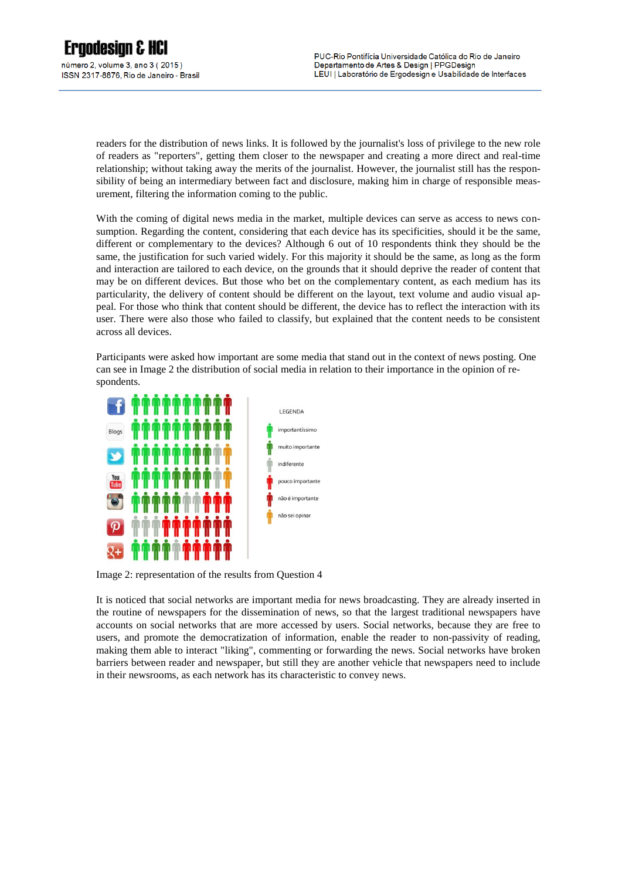readers for the distribution of news links. It is followed by the journalist's loss of privilege to the new role of readers as "reporters", getting them closer to the newspaper and creating a more direct and real-time relationship; without taking away the merits of the journalist. However, the journalist still has the responsibility of being an intermediary between fact and disclosure, making him in charge of responsible measurement, filtering the information coming to the public.

With the coming of digital news media in the market, multiple devices can serve as access to news consumption. Regarding the content, considering that each device has its specificities, should it be the same, different or complementary to the devices? Although 6 out of 10 respondents think they should be the same, the justification for such varied widely. For this majority it should be the same, as long as the form and interaction are tailored to each device, on the grounds that it should deprive the reader of content that may be on different devices. But those who bet on the complementary content, as each medium has its particularity, the delivery of content should be different on the layout, text volume and audio visual appeal. For those who think that content should be different, the device has to reflect the interaction with its user. There were also those who failed to classify, but explained that the content needs to be consistent across all devices.

Participants were asked how important are some media that stand out in the context of news posting. One can see in Image 2 the distribution of social media in relation to their importance in the opinion of respondents.



Image 2: representation of the results from Question 4

It is noticed that social networks are important media for news broadcasting. They are already inserted in the routine of newspapers for the dissemination of news, so that the largest traditional newspapers have accounts on social networks that are more accessed by users. Social networks, because they are free to users, and promote the democratization of information, enable the reader to non-passivity of reading, making them able to interact "liking", commenting or forwarding the news. Social networks have broken barriers between reader and newspaper, but still they are another vehicle that newspapers need to include in their newsrooms, as each network has its characteristic to convey news.